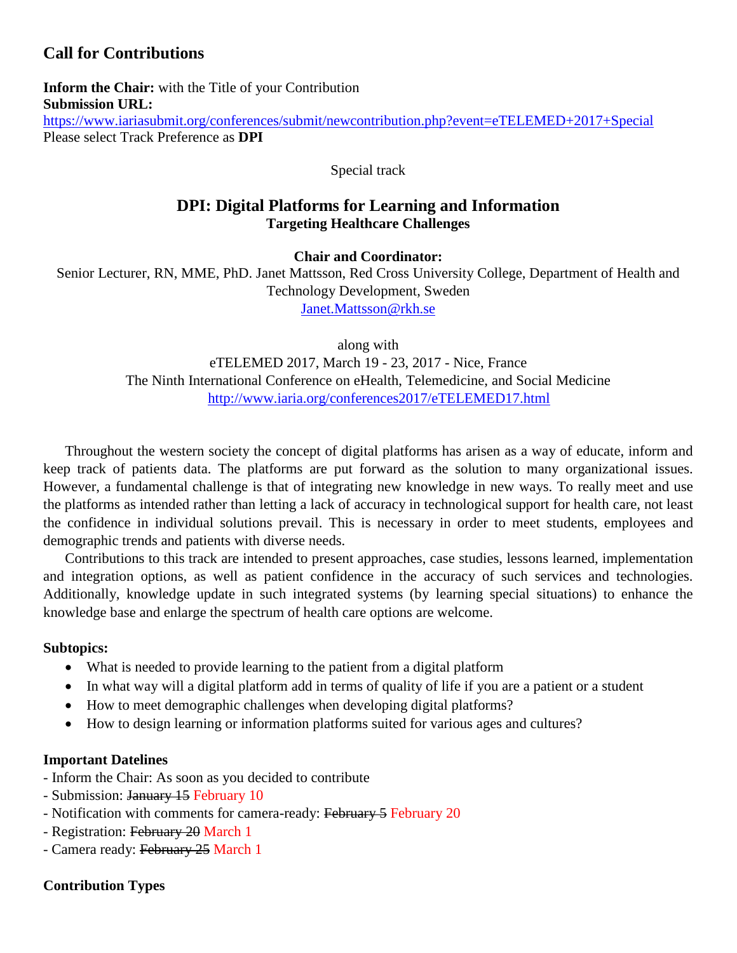# **Call for Contributions**

**Inform the Chair:** with the Title of your Contribution **Submission URL:** <https://www.iariasubmit.org/conferences/submit/newcontribution.php?event=eTELEMED+2017+Special> Please select Track Preference as **DPI**

Special track

## **DPI: Digital Platforms for Learning and Information Targeting Healthcare Challenges**

**Chair and Coordinator:**

Senior Lecturer, RN, MME, PhD. Janet Mattsson, Red Cross University College, Department of Health and Technology Development, Sweden [Janet.Mattsson@rkh.se](mailto:Janet.Mattsson@rkh.se)

along with

eTELEMED 2017, March 19 - 23, 2017 - Nice, France The Ninth International Conference on eHealth, Telemedicine, and Social Medicine <http://www.iaria.org/conferences2017/eTELEMED17.html>

Throughout the western society the concept of digital platforms has arisen as a way of educate, inform and keep track of patients data. The platforms are put forward as the solution to many organizational issues. However, a fundamental challenge is that of integrating new knowledge in new ways. To really meet and use the platforms as intended rather than letting a lack of accuracy in technological support for health care, not least the confidence in individual solutions prevail. This is necessary in order to meet students, employees and demographic trends and patients with diverse needs.

Contributions to this track are intended to present approaches, case studies, lessons learned, implementation and integration options, as well as patient confidence in the accuracy of such services and technologies. Additionally, knowledge update in such integrated systems (by learning special situations) to enhance the knowledge base and enlarge the spectrum of health care options are welcome.

### **Subtopics:**

- What is needed to provide learning to the patient from a digital platform
- In what way will a digital platform add in terms of quality of life if you are a patient or a student
- How to meet demographic challenges when developing digital platforms?
- How to design learning or information platforms suited for various ages and cultures?

#### **Important Datelines**

- Inform the Chair: As soon as you decided to contribute
- Submission: January 15 February 10
- Notification with comments for camera-ready: February 5 February 20
- Registration: February 20 March 1
- Camera ready: February 25 March 1

### **Contribution Types**